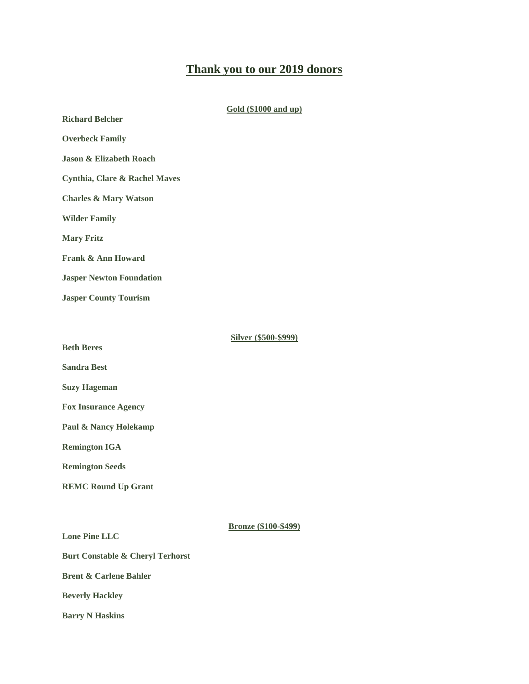## **Thank you to our 2019 donors**

| Gold (\$1000 and up) |
|----------------------|
|                      |
|                      |
|                      |
|                      |
|                      |
|                      |
|                      |
|                      |
|                      |
|                      |
|                      |

**Beth Beres**

**Silver (\$500-\$999)**

**Sandra Best**

**Suzy Hageman**

**Fox Insurance Agency**

**Paul & Nancy Holekamp**

**Remington IGA**

**Remington Seeds**

**REMC Round Up Grant**

| <b>Lone Pine LLC</b>                        | <b>Bronze</b> (\$100-\$499) |
|---------------------------------------------|-----------------------------|
| <b>Burt Constable &amp; Cheryl Terhorst</b> |                             |
| <b>Brent &amp; Carlene Bahler</b>           |                             |
| <b>Beverly Hackley</b>                      |                             |

**Barry N Haskins**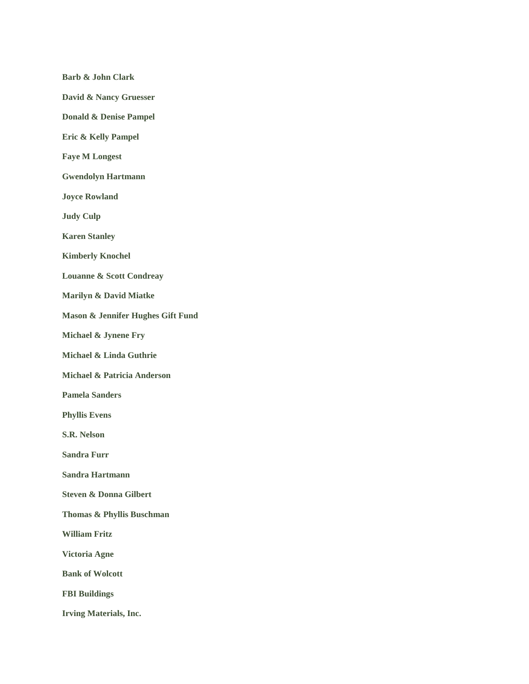**Barb & John Clark**

**David & Nancy Gruesser**

**Donald & Denise Pampel**

**Eric & Kelly Pampel**

**Faye M Longest**

**Gwendolyn Hartmann**

**Joyce Rowland**

**Judy Culp**

**Karen Stanley**

**Kimberly Knochel**

**Louanne & Scott Condreay**

**Marilyn & David Miatke**

**Mason & Jennifer Hughes Gift Fund**

**Michael & Jynene Fry**

**Michael & Linda Guthrie**

**Michael & Patricia Anderson**

**Pamela Sanders**

**Phyllis Evens**

**S.R. Nelson**

**Sandra Furr**

**Sandra Hartmann**

**Steven & Donna Gilbert**

**Thomas & Phyllis Buschman**

**William Fritz**

**Victoria Agne**

**Bank of Wolcott**

**FBI Buildings**

**Irving Materials, Inc.**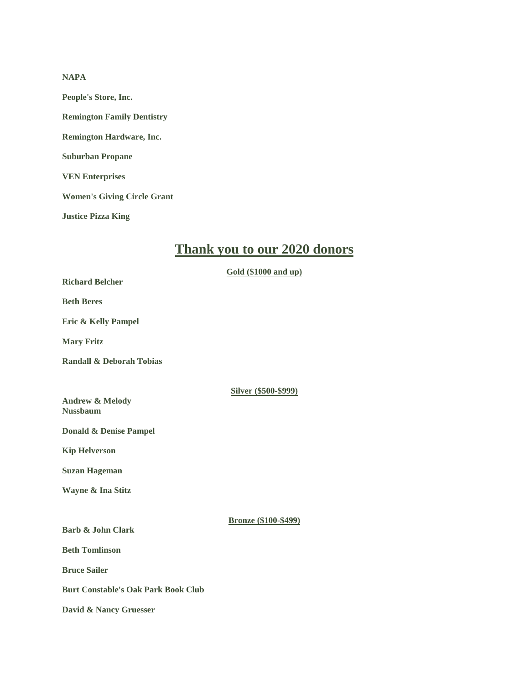## **NAPA**

**People's Store, Inc.**

**Remington Family Dentistry**

**Remington Hardware, Inc.**

**Suburban Propane**

**VEN Enterprises**

**Women's Giving Circle Grant**

**Justice Pizza King**

## **Thank you to our 2020 donors**

|                                               | Gold (\$1000 and up)        |
|-----------------------------------------------|-----------------------------|
| <b>Richard Belcher</b>                        |                             |
| <b>Beth Beres</b>                             |                             |
| <b>Eric &amp; Kelly Pampel</b>                |                             |
| <b>Mary Fritz</b>                             |                             |
| <b>Randall &amp; Deborah Tobias</b>           |                             |
|                                               | <b>Silver (\$500-\$999)</b> |
| <b>Andrew &amp; Melody</b><br><b>Nussbaum</b> |                             |
| <b>Donald &amp; Denise Pampel</b>             |                             |
| <b>Kip Helverson</b>                          |                             |
| <b>Suzan Hageman</b>                          |                             |
| Wayne & Ina Stitz                             |                             |
|                                               |                             |
| <b>Barb &amp; John Clark</b>                  | <b>Bronze</b> (\$100-\$499) |
| <b>Beth Tomlinson</b>                         |                             |
| <b>Bruce Sailer</b>                           |                             |
| <b>Burt Constable's Oak Park Book Club</b>    |                             |
| David & Nancy Gruesser                        |                             |
|                                               |                             |